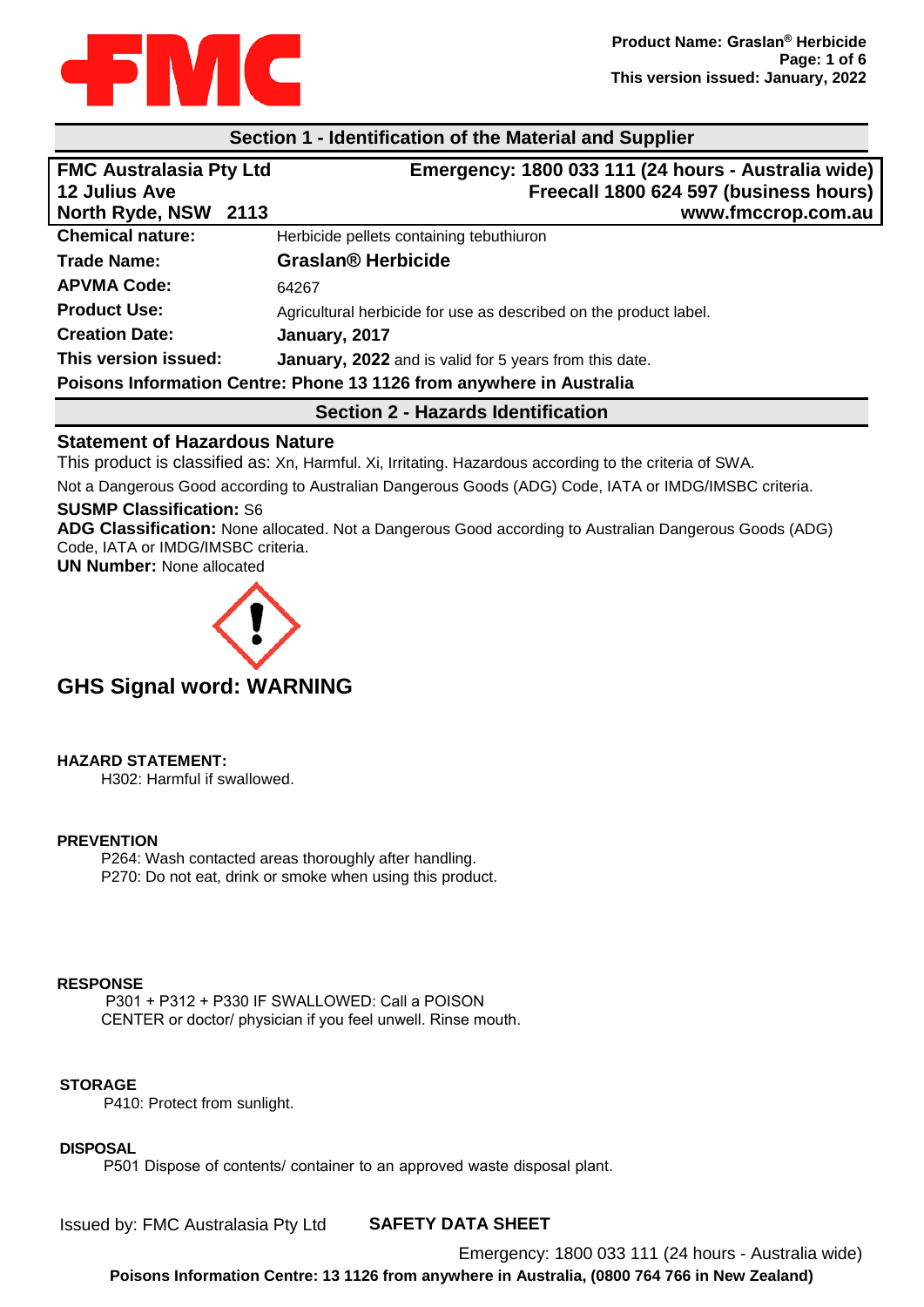

### **Section 1 - Identification of the Material and Supplier**

| <b>FMC Australasia Pty Ltd</b>                                       | Emergency: 1800 033 111 (24 hours - Australia wide)               |  |  |
|----------------------------------------------------------------------|-------------------------------------------------------------------|--|--|
| <b>12 Julius Ave</b>                                                 | Freecall 1800 624 597 (business hours)                            |  |  |
| North Ryde, NSW 2113                                                 | www.fmccrop.com.au                                                |  |  |
| <b>Chemical nature:</b>                                              | Herbicide pellets containing tebuthiuron                          |  |  |
| <b>Trade Name:</b>                                                   | <b>Graslan® Herbicide</b>                                         |  |  |
| <b>APVMA Code:</b>                                                   | 64267                                                             |  |  |
| <b>Product Use:</b>                                                  | Agricultural herbicide for use as described on the product label. |  |  |
| <b>Creation Date:</b>                                                | January, 2017                                                     |  |  |
| This version issued:                                                 | January, 2022 and is valid for 5 years from this date.            |  |  |
| Poisons Information Centre: Phone 13 1126 from anywhere in Australia |                                                                   |  |  |
|                                                                      |                                                                   |  |  |

# **Section 2 - Hazards Identification**

### **Statement of Hazardous Nature**

This product is classified as: Xn, Harmful. Xi, Irritating. Hazardous according to the criteria of SWA.

Not a Dangerous Good according to Australian Dangerous Goods (ADG) Code, IATA or IMDG/IMSBC criteria.

### **SUSMP Classification:** S6

**ADG Classification:** None allocated. Not a Dangerous Good according to Australian Dangerous Goods (ADG) Code, IATA or IMDG/IMSBC criteria.

**UN Number:** None allocated



# **GHS Signal word: WARNING**

**HAZARD STATEMENT:**

H302: Harmful if swallowed.

#### **PREVENTION**

P264: Wash contacted areas thoroughly after handling. P270: Do not eat, drink or smoke when using this product.

### **RESPONSE**

P301 + P312 + P330 IF SWALLOWED: Call a POISON CENTER or doctor/ physician if you feel unwell. Rinse mouth.

#### **STORAGE**

P410: Protect from sunlight.

#### **DISPOSAL**

P501 Dispose of contents/ container to an approved waste disposal plant.

**SAFETY DATA SHEET** Issued by: FMC Australasia Pty Ltd

> Emergency: 1800 033 111 (24 hours - Australia wide) **Poisons Information Centre: 13 1126 from anywhere in Australia, (0800 764 766 in New Zealand)**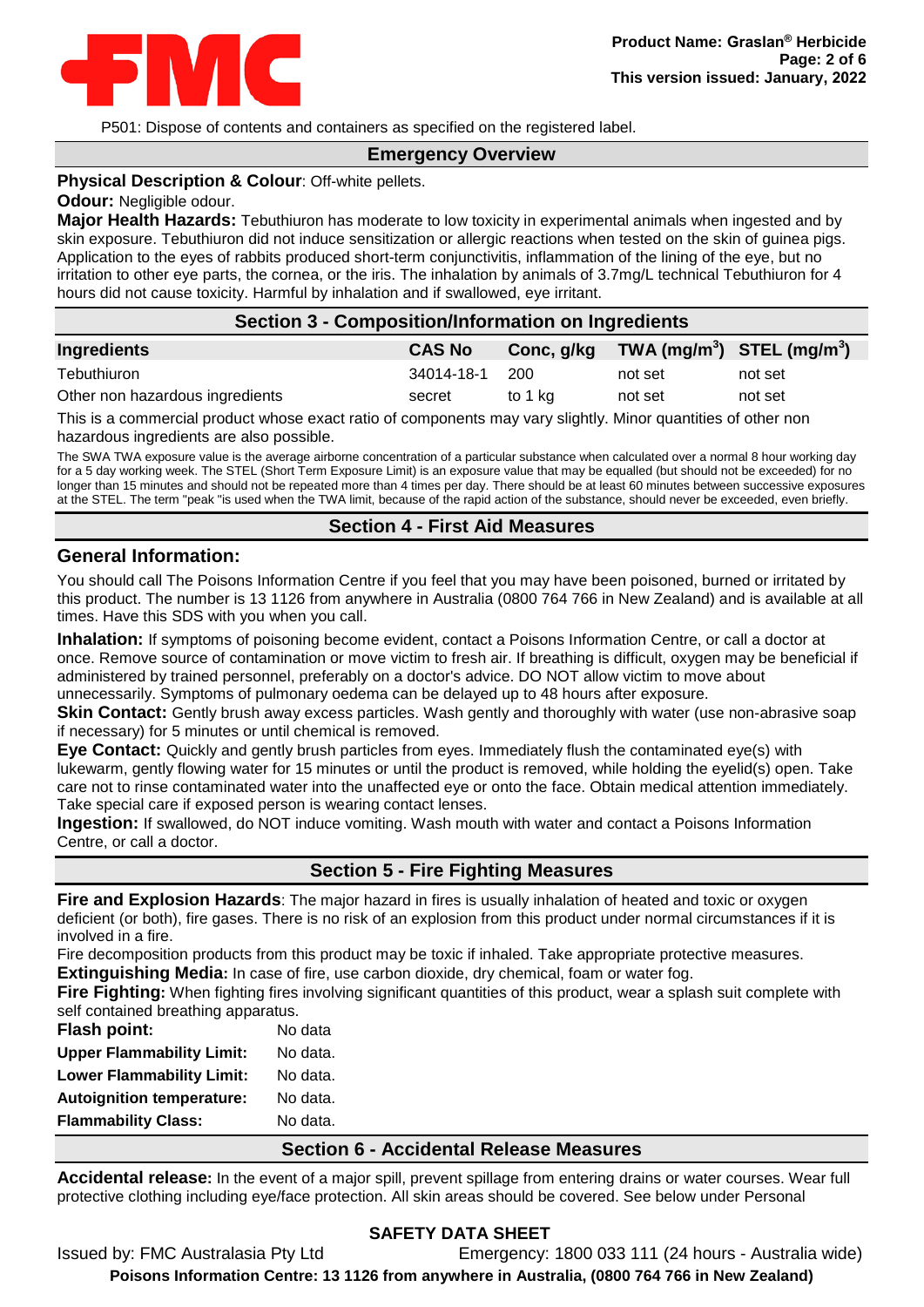

P501: Dispose of contents and containers as specified on the registered label.

# **Emergency Overview**

#### **Physical Description & Colour**: Off-white pellets.

#### **Odour:** Negligible odour.

**Major Health Hazards:** Tebuthiuron has moderate to low toxicity in experimental animals when ingested and by skin exposure. Tebuthiuron did not induce sensitization or allergic reactions when tested on the skin of guinea pigs. Application to the eyes of rabbits produced short-term conjunctivitis, inflammation of the lining of the eye, but no irritation to other eye parts, the cornea, or the iris. The inhalation by animals of 3.7mg/L technical Tebuthiuron for 4 hours did not cause toxicity. Harmful by inhalation and if swallowed, eye irritant.

#### **Section 3 - Composition/Information on Ingredients**

| Ingredients                     | <b>CAS No</b> | Conc, g/kg | $TWA$ (mg/m <sup>3</sup> ) STEL (mg/m <sup>3</sup> ) |         |
|---------------------------------|---------------|------------|------------------------------------------------------|---------|
| Tebuthiuron                     | 34014-18-1    | -200       | not set                                              | not set |
| Other non hazardous ingredients | secret        | to 1 ka    | not set                                              | not set |
| _____                           |               |            |                                                      |         |

This is a commercial product whose exact ratio of components may vary slightly. Minor quantities of other non hazardous ingredients are also possible.

The SWA TWA exposure value is the average airborne concentration of a particular substance when calculated over a normal 8 hour working day for a 5 day working week. The STEL (Short Term Exposure Limit) is an exposure value that may be equalled (but should not be exceeded) for no longer than 15 minutes and should not be repeated more than 4 times per day. There should be at least 60 minutes between successive exposures at the STEL. The term "peak "is used when the TWA limit, because of the rapid action of the substance, should never be exceeded, even briefly.

### **Section 4 - First Aid Measures**

#### **General Information:**

You should call The Poisons Information Centre if you feel that you may have been poisoned, burned or irritated by this product. The number is 13 1126 from anywhere in Australia (0800 764 766 in New Zealand) and is available at all times. Have this SDS with you when you call.

**Inhalation:** If symptoms of poisoning become evident, contact a Poisons Information Centre, or call a doctor at once. Remove source of contamination or move victim to fresh air. If breathing is difficult, oxygen may be beneficial if administered by trained personnel, preferably on a doctor's advice. DO NOT allow victim to move about unnecessarily. Symptoms of pulmonary oedema can be delayed up to 48 hours after exposure.

**Skin Contact:** Gently brush away excess particles. Wash gently and thoroughly with water (use non-abrasive soap if necessary) for 5 minutes or until chemical is removed.

**Eye Contact:** Quickly and gently brush particles from eyes. Immediately flush the contaminated eye(s) with lukewarm, gently flowing water for 15 minutes or until the product is removed, while holding the eyelid(s) open. Take care not to rinse contaminated water into the unaffected eye or onto the face. Obtain medical attention immediately. Take special care if exposed person is wearing contact lenses.

**Ingestion:** If swallowed, do NOT induce vomiting. Wash mouth with water and contact a Poisons Information Centre, or call a doctor.

# **Section 5 - Fire Fighting Measures**

**Fire and Explosion Hazards**: The major hazard in fires is usually inhalation of heated and toxic or oxygen deficient (or both), fire gases. There is no risk of an explosion from this product under normal circumstances if it is involved in a fire.

Fire decomposition products from this product may be toxic if inhaled. Take appropriate protective measures. **Extinguishing Media:** In case of fire, use carbon dioxide, dry chemical, foam or water fog.

**Fire Fighting:** When fighting fires involving significant quantities of this product, wear a splash suit complete with self contained breathing apparatus.

| <b>Flash point:</b>              | No data  |
|----------------------------------|----------|
| <b>Upper Flammability Limit:</b> | No data. |
| <b>Lower Flammability Limit:</b> | No data. |
| <b>Autoignition temperature:</b> | No data. |
| <b>Flammability Class:</b>       | No data. |

#### **Section 6 - Accidental Release Measures**

**Accidental release:** In the event of a major spill, prevent spillage from entering drains or water courses. Wear full protective clothing including eye/face protection. All skin areas should be covered. See below under Personal

#### **SAFETY DATA SHEET** Issued by: FMC Australasia Pty Ltd Emergency: 1800 033 111 (24 hours - Australia wide) **Poisons Information Centre: 13 1126 from anywhere in Australia, (0800 764 766 in New Zealand)**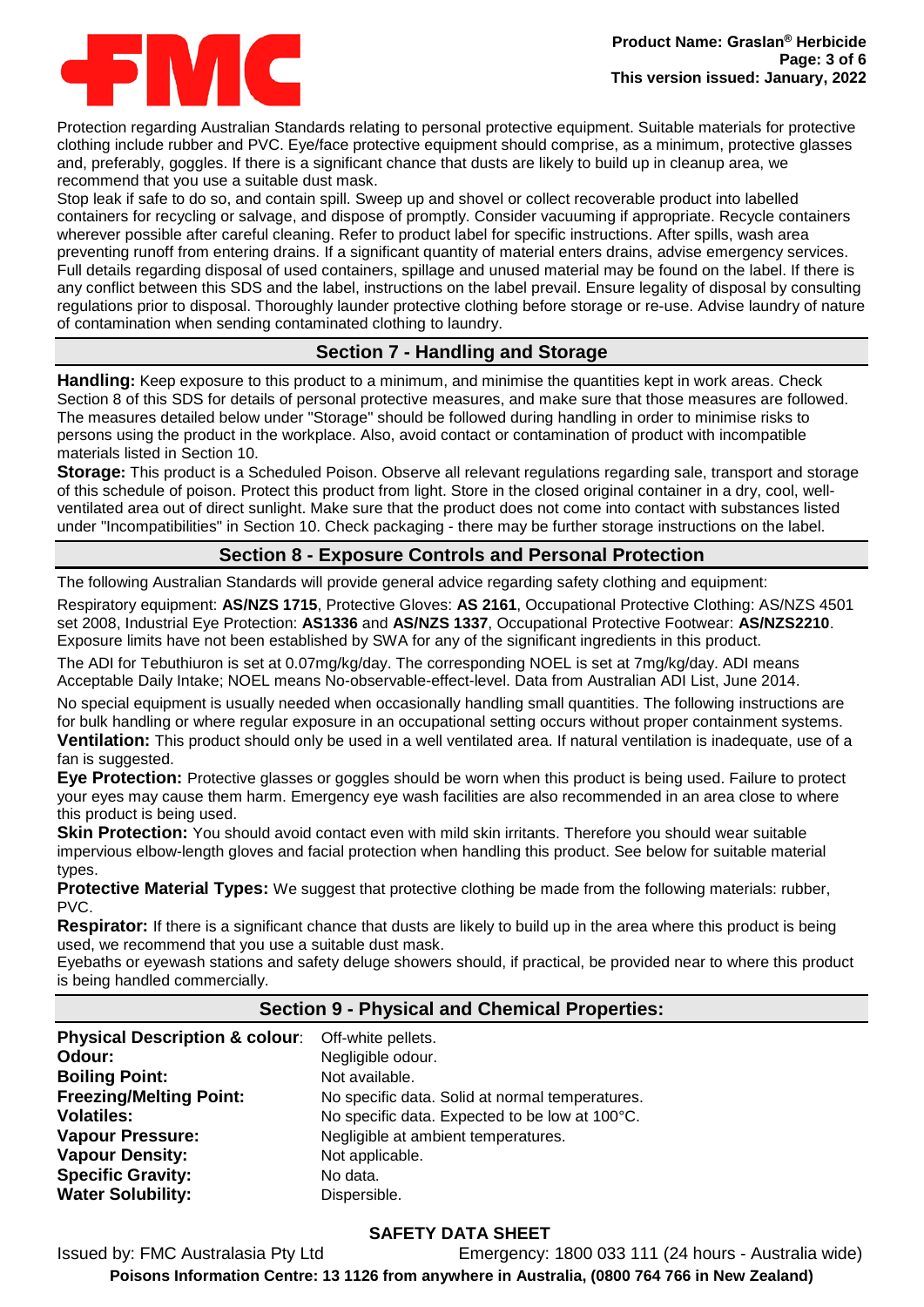

Protection regarding Australian Standards relating to personal protective equipment. Suitable materials for protective clothing include rubber and PVC. Eye/face protective equipment should comprise, as a minimum, protective glasses and, preferably, goggles. If there is a significant chance that dusts are likely to build up in cleanup area, we recommend that you use a suitable dust mask.

Stop leak if safe to do so, and contain spill. Sweep up and shovel or collect recoverable product into labelled containers for recycling or salvage, and dispose of promptly. Consider vacuuming if appropriate. Recycle containers wherever possible after careful cleaning. Refer to product label for specific instructions. After spills, wash area preventing runoff from entering drains. If a significant quantity of material enters drains, advise emergency services. Full details regarding disposal of used containers, spillage and unused material may be found on the label. If there is any conflict between this SDS and the label, instructions on the label prevail. Ensure legality of disposal by consulting regulations prior to disposal. Thoroughly launder protective clothing before storage or re-use. Advise laundry of nature of contamination when sending contaminated clothing to laundry.

# **Section 7 - Handling and Storage**

**Handling:** Keep exposure to this product to a minimum, and minimise the quantities kept in work areas. Check Section 8 of this SDS for details of personal protective measures, and make sure that those measures are followed. The measures detailed below under "Storage" should be followed during handling in order to minimise risks to persons using the product in the workplace. Also, avoid contact or contamination of product with incompatible materials listed in Section 10.

**Storage:** This product is a Scheduled Poison. Observe all relevant regulations regarding sale, transport and storage of this schedule of poison. Protect this product from light. Store in the closed original container in a dry, cool, wellventilated area out of direct sunlight. Make sure that the product does not come into contact with substances listed under "Incompatibilities" in Section 10. Check packaging - there may be further storage instructions on the label.

# **Section 8 - Exposure Controls and Personal Protection**

The following Australian Standards will provide general advice regarding safety clothing and equipment:

Respiratory equipment: **AS/NZS 1715**, Protective Gloves: **AS 2161**, Occupational Protective Clothing: AS/NZS 4501 set 2008, Industrial Eye Protection: **AS1336** and **AS/NZS 1337**, Occupational Protective Footwear: **AS/NZS2210**. Exposure limits have not been established by SWA for any of the significant ingredients in this product.

The ADI for Tebuthiuron is set at 0.07mg/kg/day. The corresponding NOEL is set at 7mg/kg/day. ADI means Acceptable Daily Intake; NOEL means No-observable-effect-level. Data from Australian ADI List, June 2014.

No special equipment is usually needed when occasionally handling small quantities. The following instructions are for bulk handling or where regular exposure in an occupational setting occurs without proper containment systems.

**Ventilation:** This product should only be used in a well ventilated area. If natural ventilation is inadequate, use of a fan is suggested.

**Eye Protection:** Protective glasses or goggles should be worn when this product is being used. Failure to protect your eyes may cause them harm. Emergency eye wash facilities are also recommended in an area close to where this product is being used.

**Skin Protection:** You should avoid contact even with mild skin irritants. Therefore you should wear suitable impervious elbow-length gloves and facial protection when handling this product. See below for suitable material types.

**Protective Material Types:** We suggest that protective clothing be made from the following materials: rubber, PVC.

**Respirator:** If there is a significant chance that dusts are likely to build up in the area where this product is being used, we recommend that you use a suitable dust mask.

Eyebaths or eyewash stations and safety deluge showers should, if practical, be provided near to where this product is being handled commercially.

# **Section 9 - Physical and Chemical Properties:**

| Physical Description & colour: Off-white pellets. |
|---------------------------------------------------|
| Negligible odour.                                 |
| Not available.                                    |
| No specific data. Solid at normal temperatures.   |
| No specific data. Expected to be low at 100°C.    |
| Negligible at ambient temperatures.               |
| Not applicable.                                   |
| No data.                                          |
| Dispersible.                                      |
|                                                   |

# **SAFETY DATA SHEET**

Issued by: FMC Australasia Pty Ltd Emergency: 1800 033 111 (24 hours - Australia wide) **Poisons Information Centre: 13 1126 from anywhere in Australia, (0800 764 766 in New Zealand)**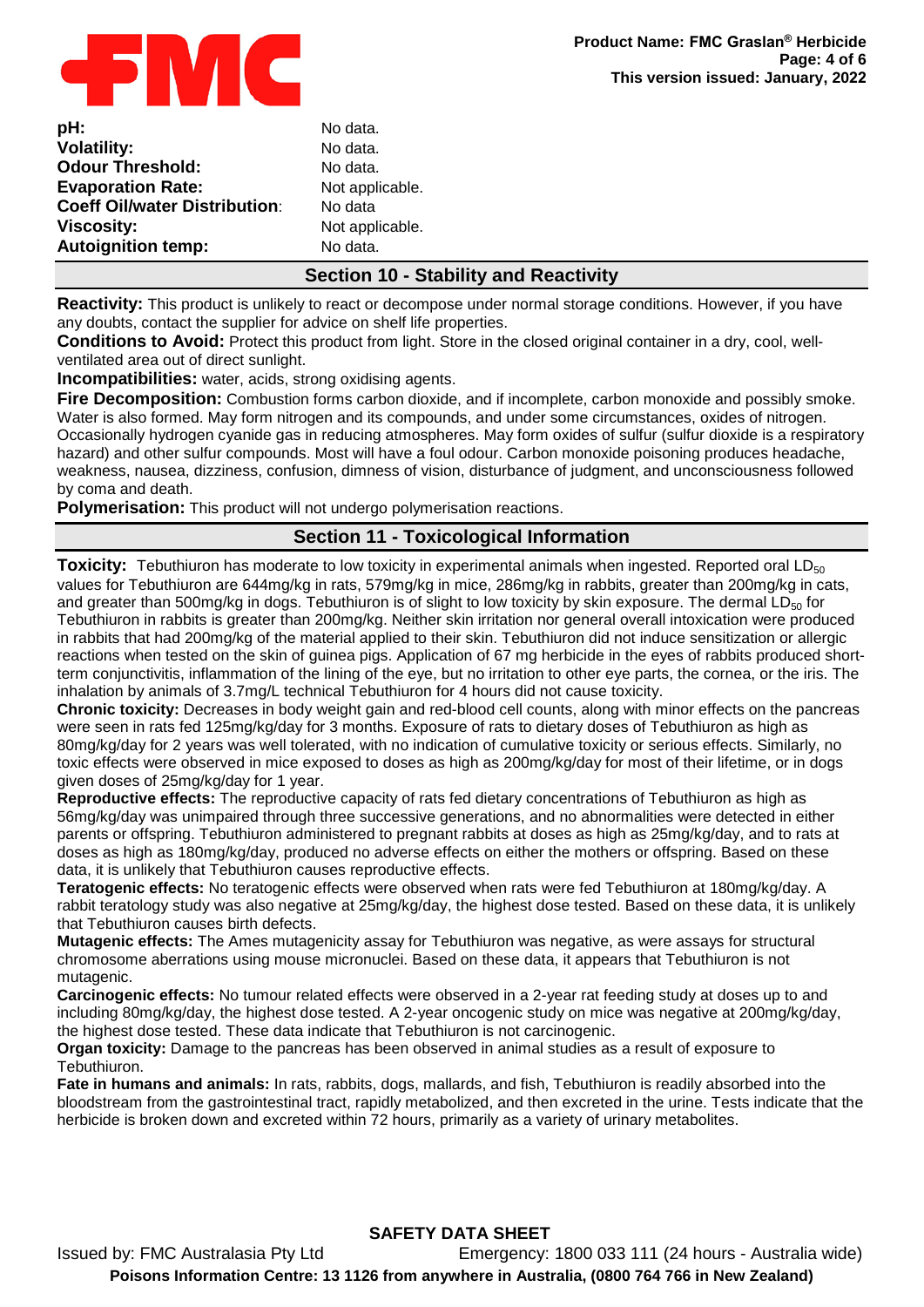

| pH:                                  | No data. |
|--------------------------------------|----------|
| <b>Volatility:</b>                   | No data. |
| <b>Odour Threshold:</b>              | No data. |
| <b>Evaporation Rate:</b>             | Not appl |
| <b>Coeff Oil/water Distribution:</b> | No data  |
| <b>Viscosity:</b>                    | Not appl |
| <b>Autoignition temp:</b>            | No data. |
|                                      |          |

No data<mark>.</mark><br>No data. **No data. Not applicable. No data Viscosity:** Not applicable. **No data.** 

# **Section 10 - Stability and Reactivity**

**Reactivity:** This product is unlikely to react or decompose under normal storage conditions. However, if you have any doubts, contact the supplier for advice on shelf life properties.

**Conditions to Avoid:** Protect this product from light. Store in the closed original container in a dry, cool, wellventilated area out of direct sunlight.

**Incompatibilities:** water, acids, strong oxidising agents.

**Fire Decomposition:** Combustion forms carbon dioxide, and if incomplete, carbon monoxide and possibly smoke. Water is also formed. May form nitrogen and its compounds, and under some circumstances, oxides of nitrogen. Occasionally hydrogen cyanide gas in reducing atmospheres. May form oxides of sulfur (sulfur dioxide is a respiratory hazard) and other sulfur compounds. Most will have a foul odour. Carbon monoxide poisoning produces headache, weakness, nausea, dizziness, confusion, dimness of vision, disturbance of judgment, and unconsciousness followed by coma and death.

**Polymerisation:** This product will not undergo polymerisation reactions.

# **Section 11 - Toxicological Information**

**Toxicity:** Tebuthiuron has moderate to low toxicity in experimental animals when ingested. Reported oral LD<sub>50</sub> values for Tebuthiuron are 644mg/kg in rats, 579mg/kg in mice, 286mg/kg in rabbits, greater than 200mg/kg in cats, and greater than 500mg/kg in dogs. Tebuthiuron is of slight to low toxicity by skin exposure. The dermal  $LD_{50}$  for Tebuthiuron in rabbits is greater than 200mg/kg. Neither skin irritation nor general overall intoxication were produced in rabbits that had 200mg/kg of the material applied to their skin. Tebuthiuron did not induce sensitization or allergic reactions when tested on the skin of guinea pigs. Application of 67 mg herbicide in the eyes of rabbits produced shortterm conjunctivitis, inflammation of the lining of the eye, but no irritation to other eye parts, the cornea, or the iris. The inhalation by animals of 3.7mg/L technical Tebuthiuron for 4 hours did not cause toxicity.

**Chronic toxicity:** Decreases in body weight gain and red-blood cell counts, along with minor effects on the pancreas were seen in rats fed 125mg/kg/day for 3 months. Exposure of rats to dietary doses of Tebuthiuron as high as 80mg/kg/day for 2 years was well tolerated, with no indication of cumulative toxicity or serious effects. Similarly, no toxic effects were observed in mice exposed to doses as high as 200mg/kg/day for most of their lifetime, or in dogs given doses of 25mg/kg/day for 1 year.

**Reproductive effects:** The reproductive capacity of rats fed dietary concentrations of Tebuthiuron as high as 56mg/kg/day was unimpaired through three successive generations, and no abnormalities were detected in either parents or offspring. Tebuthiuron administered to pregnant rabbits at doses as high as 25mg/kg/day, and to rats at doses as high as 180mg/kg/day, produced no adverse effects on either the mothers or offspring. Based on these data, it is unlikely that Tebuthiuron causes reproductive effects.

**Teratogenic effects:** No teratogenic effects were observed when rats were fed Tebuthiuron at 180mg/kg/day. A rabbit teratology study was also negative at 25mg/kg/day, the highest dose tested. Based on these data, it is unlikely that Tebuthiuron causes birth defects.

**Mutagenic effects:** The Ames mutagenicity assay for Tebuthiuron was negative, as were assays for structural chromosome aberrations using mouse micronuclei. Based on these data, it appears that Tebuthiuron is not mutagenic.

**Carcinogenic effects:** No tumour related effects were observed in a 2-year rat feeding study at doses up to and including 80mg/kg/day, the highest dose tested. A 2-year oncogenic study on mice was negative at 200mg/kg/day, the highest dose tested. These data indicate that Tebuthiuron is not carcinogenic.

**Organ toxicity:** Damage to the pancreas has been observed in animal studies as a result of exposure to Tebuthiuron.

**Fate in humans and animals:** In rats, rabbits, dogs, mallards, and fish, Tebuthiuron is readily absorbed into the bloodstream from the gastrointestinal tract, rapidly metabolized, and then excreted in the urine. Tests indicate that the herbicide is broken down and excreted within 72 hours, primarily as a variety of urinary metabolites.

# **SAFETY DATA SHEET**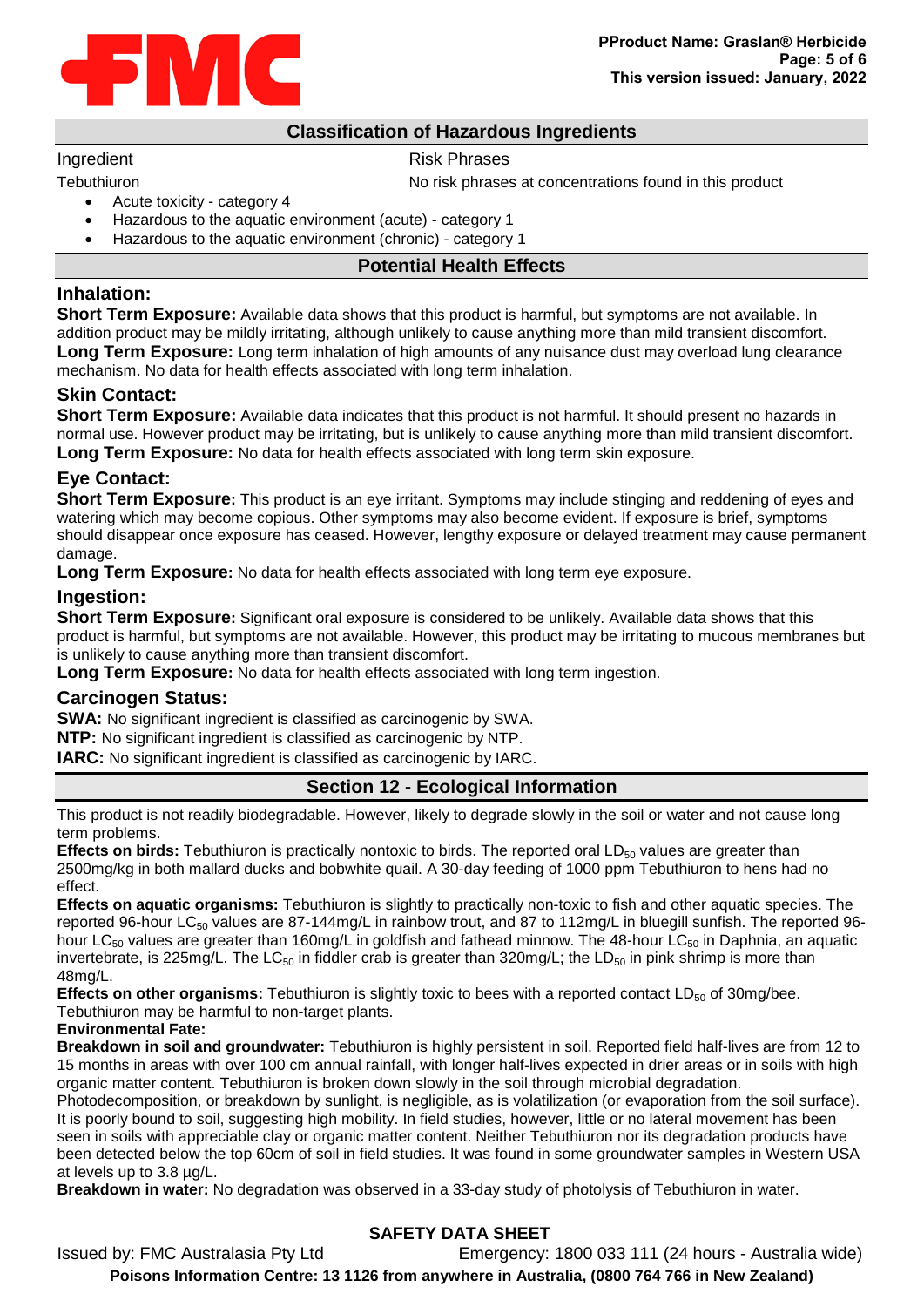

# **Classification of Hazardous Ingredients**

#### Ingredient **Risk Phrases**

Tebuthiuron Tebuthiuron No risk phrases at concentrations found in this product

- Acute toxicity category 4
- Hazardous to the aquatic environment (acute) category 1
- Hazardous to the aquatic environment (chronic) category 1

### **Potential Health Effects**

# **Inhalation:**

**Short Term Exposure:** Available data shows that this product is harmful, but symptoms are not available. In addition product may be mildly irritating, although unlikely to cause anything more than mild transient discomfort. **Long Term Exposure:** Long term inhalation of high amounts of any nuisance dust may overload lung clearance mechanism. No data for health effects associated with long term inhalation.

# **Skin Contact:**

**Short Term Exposure:** Available data indicates that this product is not harmful. It should present no hazards in normal use. However product may be irritating, but is unlikely to cause anything more than mild transient discomfort. **Long Term Exposure:** No data for health effects associated with long term skin exposure.

# **Eye Contact:**

**Short Term Exposure:** This product is an eye irritant. Symptoms may include stinging and reddening of eyes and watering which may become copious. Other symptoms may also become evident. If exposure is brief, symptoms should disappear once exposure has ceased. However, lengthy exposure or delayed treatment may cause permanent damage.

**Long Term Exposure:** No data for health effects associated with long term eye exposure.

# **Ingestion:**

**Short Term Exposure:** Significant oral exposure is considered to be unlikely. Available data shows that this product is harmful, but symptoms are not available. However, this product may be irritating to mucous membranes but is unlikely to cause anything more than transient discomfort.

**Long Term Exposure:** No data for health effects associated with long term ingestion.

# **Carcinogen Status:**

**SWA:** No significant ingredient is classified as carcinogenic by SWA.

**NTP:** No significant ingredient is classified as carcinogenic by NTP.

**IARC:** No significant ingredient is classified as carcinogenic by IARC.

# **Section 12 - Ecological Information**

This product is not readily biodegradable. However, likely to degrade slowly in the soil or water and not cause long term problems.

**Effects on birds:** Tebuthiuron is practically nontoxic to birds. The reported oral LD<sub>50</sub> values are greater than 2500mg/kg in both mallard ducks and bobwhite quail. A 30-day feeding of 1000 ppm Tebuthiuron to hens had no effect.

**Effects on aquatic organisms:** Tebuthiuron is slightly to practically non-toxic to fish and other aquatic species. The reported 96-hour LC<sub>50</sub> values are 87-144mg/L in rainbow trout, and 87 to 112mg/L in bluegill sunfish. The reported 96hour LC<sub>50</sub> values are greater than 160mg/L in goldfish and fathead minnow. The 48-hour LC<sub>50</sub> in Daphnia, an aquatic invertebrate, is 225mg/L. The LC<sub>50</sub> in fiddler crab is greater than 320mg/L; the LD<sub>50</sub> in pink shrimp is more than 48mg/L.

**Effects on other organisms:** Tebuthiuron is slightly toxic to bees with a reported contact  $LD_{50}$  of 30mg/bee. Tebuthiuron may be harmful to non-target plants.

# **Environmental Fate:**

**Breakdown in soil and groundwater:** Tebuthiuron is highly persistent in soil. Reported field half-lives are from 12 to 15 months in areas with over 100 cm annual rainfall, with longer half-lives expected in drier areas or in soils with high organic matter content. Tebuthiuron is broken down slowly in the soil through microbial degradation.

Photodecomposition, or breakdown by sunlight, is negligible, as is volatilization (or evaporation from the soil surface). It is poorly bound to soil, suggesting high mobility. In field studies, however, little or no lateral movement has been seen in soils with appreciable clay or organic matter content. Neither Tebuthiuron nor its degradation products have been detected below the top 60cm of soil in field studies. It was found in some groundwater samples in Western USA at levels up to 3.8 µg/L.

**Breakdown in water:** No degradation was observed in a 33-day study of photolysis of Tebuthiuron in water.

# **SAFETY DATA SHEET**

Issued by: FMC Australasia Pty Ltd Emergency: 1800 033 111 (24 hours - Australia wide) **Poisons Information Centre: 13 1126 from anywhere in Australia, (0800 764 766 in New Zealand)**